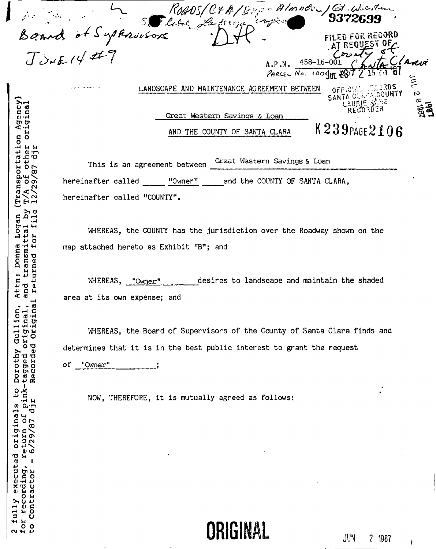ROADS/C+A/Boys - Almades/Gt. Western  $-$  fls  $\epsilon$  or japper Board of Supressions **FILED FOR RECORD** Sĩ AT REQUE -0F 458-16-001 A.P.N. Ĵ PARCEL NO. 1000TH سمبر<br>س **OFFICIAL MALLANTY**<br>SANTA CLAPA CO**UNTY** والمستعدد والدار LANDSCAPE AND MAINTENANCE AGREEMENT BETWEEN  $\mathcal{C}$ RECOR Great Western Savings & Loan K239PAGE2106 AND THE COUNTY OF SANTA CLARA

Great Western Savings & Loan This is an agreement between hereinafter called "Owner" and the COUNTY OF SANTA CLARA, hereinafter called "COUNTY".

WHEREAS, the COUNTY has the jurisdiction over the Roadway shown on the map attached hereto as Exhibit "B"; and

desires to landscape and maintain the shaded WHEREAS, "Owner" area at its own expense; and

WHEREAS, the Board of Supervisors of the County of Santa Clara finds and determines that it is in the best public interest to grant the request

1o "Owner"

NOW, THEREFORE, it is mutually agreed as follows:

ORIGINAL

j

 $\infty$ 

ឨូង៊ី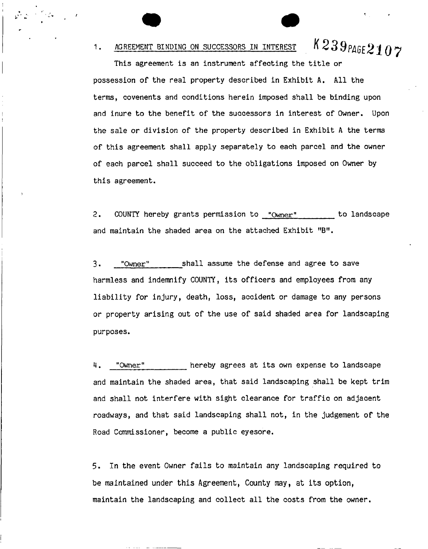# 1. AGREEMENT BINDING ON SUCCESSORS IN INTEREST  $K239$ PAGE $2107$

This agreement is an instrument affecting the title or possession of the real property described in Exhibit A. All the terms, covenents and conditions herein imposed shall be binding upon and inure to the benefit of the successors in interest of Owner, Upon the sale or division of the property described in Exhibit A the terms of this agreement shall apply separately to each parcel and the owner of each parcel shall succeed to the obligations imposed on Owner by this agreement.

2. COUNTY hereby grants permission to "Owner" to landscape and maintain the shaded area on the attached Exhibit "B".

3. "Owner" shall assume the defense and agree to save harmless and indemnify COUNTY, its officers and employees from any liability for injury, death, loss, accident or damage to any persons or property arising out of the use of said shaded area for landscaping purposes.

4. "Owner" hereby agrees at its own expense to landscape and maintain the shaded area, that said landscaping shall be kept trim and shall not interfere with sight clearance for traffic on adjacent roadways, and that said landscaping shall not, in the judgement of the Road Commissioner, become a public eyesore.

5. In the event Owner fails to maintain any landscaping required to be maintained under this Agreement, County may, at its option, maintain the landscaping and collect all the costs from the owner.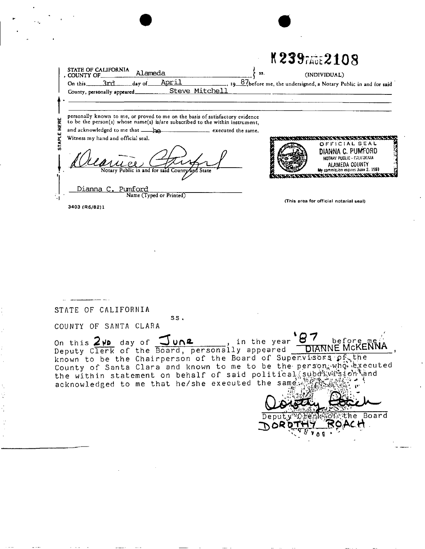|       | <b>STATE OF CALIFORNIA</b>                                                                                                                                     | K239 FAGE 2108                                                                                                                                                  |  |
|-------|----------------------------------------------------------------------------------------------------------------------------------------------------------------|-----------------------------------------------------------------------------------------------------------------------------------------------------------------|--|
|       | Alameda<br>55.<br>, COUNTY OF_                                                                                                                                 | (INDIVIDUAL)                                                                                                                                                    |  |
|       | <u>April</u><br>On this $3rd$<br>day of<br>Steve Mitchell<br>County, personally appeared_                                                                      | 19 87before me, the undersigned, a Notary Public in and for said                                                                                                |  |
|       |                                                                                                                                                                |                                                                                                                                                                 |  |
| HERE  | personally known to me, or proved to me on the basis of satisfactory evidence<br>to be the person(s) whose name(s) is/are subscribed to the within instrument, |                                                                                                                                                                 |  |
|       | executed the same.                                                                                                                                             |                                                                                                                                                                 |  |
| STAPL | Witness my hand and official seal.<br>Notary Public in and for said County and State                                                                           | こへいへいひ へいいん<br>OFFICIAL SEAL<br>DIANNA C. PUMFORD<br>NOTARY PUBLIC - CALIFORNIA<br>ALAMEDA COUNTY<br>My commission expires June 2. 1989<br>しんにょう ス・モース にっぽんはんせん |  |
|       | Dianna C. Pumford<br>Name (Typed or Printed)                                                                                                                   | (This area for official notarial seal)                                                                                                                          |  |
|       | 3403 (R6/82)1                                                                                                                                                  |                                                                                                                                                                 |  |

STATE OF CALIFORNIA

COUNTY OF SANTA CLARA

87 DIANNE MCKENNA On this 2ND day of June, in the year<br>Deputy Clerk of the Board, personally appeared in the year known to be the Chairperson of the Board of Supervisors pf the County of Santa Clara and known to me to be the person, who executed the within statement on behalf of said political subdivirsion and acknowledged to me that he/she executed the same statement.

 $ss.$ 

56. **STAthe Board** Deputy<sup>(5)</sup> POACH ם ל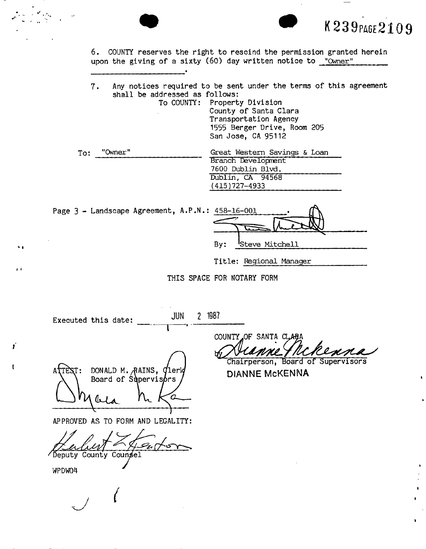6. COUNTY reserves the right to rescind the permission granted herein upon the giving of a sixty (60) day written notice to "Owner"

7. Any notices required to be sent under the terms of this agreement shall be addressed as follows:<br>To COUNTY: Propert

Property Division County of Santa Clara Transportation Agency 1555 Berger Drive, Room 205 San Jose, CA 95112

| Great Western Savings & Loan |
|------------------------------|
| Branch Development           |
| 7600 Dublin Blvd.            |
| Dublin, CA 94568             |
| $(415)727 - 4933$            |
|                              |

Page 3 - Landscape Agreement, A.P.N.

| N.: 458-16-001 |                 |
|----------------|-----------------|
|                |                 |
| By:            | 'Steve Mitchell |

Ā

**• K 239** PAGE **210 9** 

Title: Regional Manager

THIS SPACE FOR NOTARY FORM

Executed this date: **JUN 2 1987** 

DONALD M. RAINS, *Qlerk* Board of Supervisors bla

APPROVED AS TO FORM AND LEGALITY:

'Deputy County Counsel

*(* 

WPDW04

×.

 $\mathbf{r}$ 

Ý

 $\mathbf{r}$ 

COUNTY OF SANTA CLAI

Chairperson, Board of Supervisors DIANNE McKENNA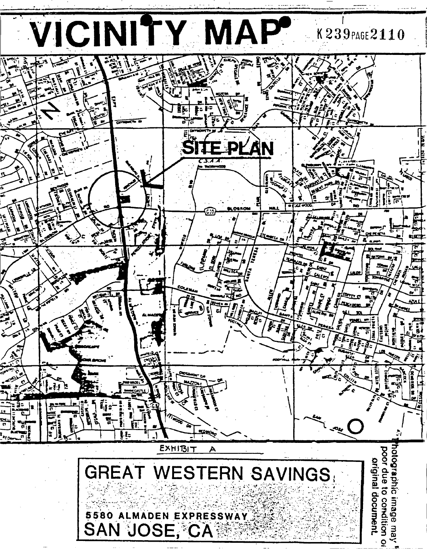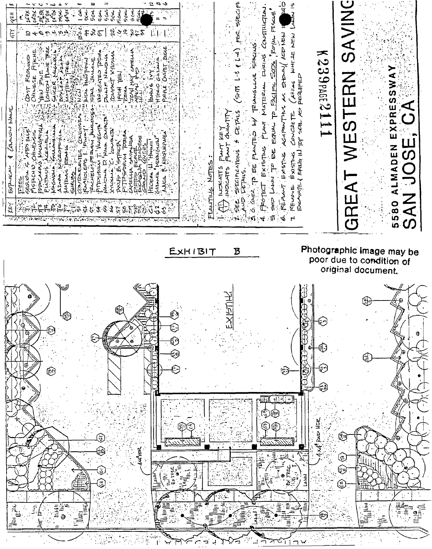|                          | $\vec{A}$                                                            |                                                                             | 415<br>È<br>リスイエー<br>CAMPN)<br>⇜<br><b>Bolynom</b><br>Äή                                                        |                   |
|--------------------------|----------------------------------------------------------------------|-----------------------------------------------------------------------------|-----------------------------------------------------------------------------------------------------------------|-------------------|
|                          | G<br>জ্<br>Φ                                                         |                                                                             | $\mathcal{I}_{\mathcal{I},\mathcal{V}}$<br>FEES<br>1                                                            |                   |
|                          | a<br>ş                                                               |                                                                             | Ĵ,<br>$\sigma$                                                                                                  |                   |
|                          |                                                                      |                                                                             | Œ,<br>ボ<br>一方<br>z                                                                                              |                   |
|                          | ٤<br>⊛                                                               |                                                                             | ्द्र<br>श्री                                                                                                    |                   |
|                          | ana<br>37                                                            |                                                                             | $\frac{1}{2}$<br>9                                                                                              |                   |
|                          | ₩                                                                    |                                                                             | ぶみ<br>AATENCE                                                                                                   |                   |
|                          | تت<br>Ē                                                              |                                                                             | Bo.c.<br>rpar                                                                                                   |                   |
|                          | $\alpha$ ) $\alpha$                                                  |                                                                             | <b>SEA</b><br>£<br><b>JA-MINE</b><br>HALL HALL ADL<br><b>Shirt</b><br>Horgar?                                   |                   |
|                          | $\widetilde{v}$<br>宛<br>تق<br>$\left\langle i\right\rangle$          |                                                                             | $\mathbb{Z}$ $\mathcal{Z}$<br>Walecateo<br>ITOSANN                                                              |                   |
|                          |                                                                      |                                                                             | <b>1979<br/>1979</b><br>1979<br><b>DUAIF</b><br>Ž                                                               |                   |
|                          | $\circledR$<br>Θ                                                     |                                                                             | بالمهاجم<br>Ì,<br>≸<br>ते<br>य<br><b>COMPAC</b><br><b>HHH</b><br>टें जम्प्टी<br>टि<br>Á<br>ぶす                   |                   |
|                          |                                                                      |                                                                             | ی به<br>ماره<br>مه<br><b>Alik</b><br>ॉटेला<br>Forch<br>है।<br>ज                                                 |                   |
|                          | ீ                                                                    |                                                                             | 25872<br>HAI<br>ą<br>BΚ<br>Ę<br>√<br>}                                                                          |                   |
|                          | $\frac{1}{2}$<br>$444$ Harz                                          |                                                                             | $\Rightarrow$<br>$\frac{1}{2}$                                                                                  |                   |
|                          | ろう                                                                   |                                                                             | マユナダ<br>HTERIO<br>ţ<br>tecera<br>ă                                                                              | $\sigma$ $\sigma$ |
|                          | Ë,                                                                   |                                                                             | $\Rightarrow$<br>的 12<br>n<br>M<br>Pref                                                                         |                   |
|                          | $\mathbb{C}^3$<br>€<br>⊕<br>$\mathfrak{C}^{\mathfrak{O}}$<br><b></b> |                                                                             |                                                                                                                 |                   |
|                          | Ξ                                                                    |                                                                             |                                                                                                                 |                   |
|                          |                                                                      | EXHIBIT                                                                     |                                                                                                                 |                   |
| ᄀ                        |                                                                      |                                                                             | Netsi<br><b>PLANTING</b>                                                                                        |                   |
|                          |                                                                      |                                                                             | <b>KEY</b><br>GRANTITY<br>Ő<br><b>ILICALATES</b>                                                                |                   |
|                          |                                                                      |                                                                             | ć<br>₫<br>INDICATS                                                                                              |                   |
| ┑                        |                                                                      | B                                                                           | ؆<br>SHT5<br><b>OETALS</b><br>FECIFICATONS<br>いてんこ                                                              |                   |
|                          |                                                                      |                                                                             | لا<br>مراجع<br>TRIANGLLN2<br>J<br>η<br>Τ<br>とくて<br>ø₽<br>Ê                                                      |                   |
| $\overline{\phantom{a}}$ | Elfill<br>٢                                                          |                                                                             | abrils<br>ロコス<br>MATER<br>EXISTING<br>ò.                                                                        |                   |
|                          |                                                                      |                                                                             | Erst<br>عاملا<br>Poyer<br>R,<br>PALLEL<br>ष्टि<br>EQUA<br>R,                                                    |                   |
|                          | 4()4()<br>نت                                                         |                                                                             | 运<br>$\vec{r}$<br>Ġ<br>ろくぼん<br>アメルスカ<br>$\kappa_{\rm F}$<br>Ċ.                                                  | 0.                |
|                          | $\div$<br>$\frac{1}{2}$<br>Ξ                                         |                                                                             | ュリ<br><b>AHE.7E</b><br><b>PEQUIPE</b><br>$A^2F=6$<br>CONCRETE<br><b>FXISTIVE</b><br>奇<br>KENOVE<br>$\mathbf{r}$ |                   |
|                          | $\bar{8}$<br>三五                                                      |                                                                             | よう<br>一丈子三年                                                                                                     |                   |
|                          | ""<br>4.uf puo Hor<br>p.                                             |                                                                             | $K239$ PAGE2<br>$\rightarrow$<br><b>kood</b><br>$\overline{\phantom{a}}$                                        |                   |
|                          |                                                                      |                                                                             |                                                                                                                 |                   |
|                          | Œ<br>ω!<br>ای<br>٤                                                   | Photographic image may be<br>poor due to condition of<br>original document. | <b>SAVING</b><br>$\Xi$<br>$\overline{\mathbf{u}}$<br>.<br>()<br>GREA                                            |                   |
|                          |                                                                      |                                                                             |                                                                                                                 |                   |
|                          | 격                                                                    |                                                                             |                                                                                                                 |                   |
|                          |                                                                      |                                                                             |                                                                                                                 |                   |
|                          | æ<br>Ф                                                               |                                                                             | EXPRESSWAY<br>LMADEN<br>4                                                                                       |                   |
|                          | 田<br>Ë                                                               |                                                                             | <u>(C)</u><br>Z<br>4<br>5580<br><b>SAN</b>                                                                      |                   |
|                          | Ø                                                                    |                                                                             |                                                                                                                 |                   |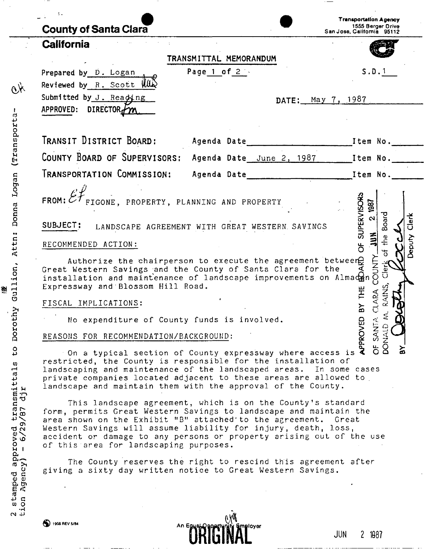| <b>County of Santa Clara</b>                                                                                                                                                                                                                                                                                                                                                                                                                             |                        | <b>Transportation Agency</b><br>1555 Berger Drive<br>San Jose, California 95112 |  |  |
|----------------------------------------------------------------------------------------------------------------------------------------------------------------------------------------------------------------------------------------------------------------------------------------------------------------------------------------------------------------------------------------------------------------------------------------------------------|------------------------|---------------------------------------------------------------------------------|--|--|
| <b>California</b>                                                                                                                                                                                                                                                                                                                                                                                                                                        |                        |                                                                                 |  |  |
|                                                                                                                                                                                                                                                                                                                                                                                                                                                          | TRANSMITTAL MEMORANDUM |                                                                                 |  |  |
| Prepared by D. Logan<br>Reviewed by $R$ . Scott $\parallel \parallel \parallel$<br>Submitted by J. Reading<br>APPROVED: DIRECTOR <sub>1</sub> /m                                                                                                                                                                                                                                                                                                         | Page 1 of 2            | S.D.1<br>DATE: May 7, 1987                                                      |  |  |
|                                                                                                                                                                                                                                                                                                                                                                                                                                                          |                        |                                                                                 |  |  |
|                                                                                                                                                                                                                                                                                                                                                                                                                                                          |                        | COUNTY BOARD OF SUPERVISORS: Agenda Date June 2, 1987 [1tem No. 11]             |  |  |
|                                                                                                                                                                                                                                                                                                                                                                                                                                                          |                        |                                                                                 |  |  |
| FROM: $\mathscr{EF}_{\texttt{FIGONE}}$ , PROPERTY, PLANNING AND PROPERTY<br>SUBJECT: LANDSCAPE AGREEMENT WITH GREAT WESTERN SAVINGS                                                                                                                                                                                                                                                                                                                      |                        | SUPERVISORS<br>UN 2 1987<br>Board<br>Clerk                                      |  |  |
| RECOMMENDED ACTION:                                                                                                                                                                                                                                                                                                                                                                                                                                      |                        | $\tilde{z}$<br>the<br>Deputy<br>$\overleftrightarrow{\mathrm{o}}$               |  |  |
| COUNTY<br>Authorize the chairperson to execute the agreement betweer $\theta$<br>Clerk<br>Cle<br>Great Western Savings and the County of Santa Clara for the<br>installation and maintenance of landscape improvements on Almaden<br>Expressway and Blossom Hill Road.<br><b>AINS</b><br>THE<br>CLARA<br>FISCAL IMPLICATIONS:<br>$\mathbf{\Sigma}$<br>$\alpha$<br>e<br>No expenditure of County funds is involved.                                       |                        |                                                                                 |  |  |
| REASONS FOR RECOMMENDATION/BACKGROUND:                                                                                                                                                                                                                                                                                                                                                                                                                   |                        | <b>SANT</b><br><b>NALD</b>                                                      |  |  |
| On a typical section of County expressway where access is a scaping and maintenance of the landscape of the installation of ate companies location of<br>$5\overline{8}$<br>ଌ<br>restricted, the County is responsible for the installation of<br>landscaping and maintenance of the landscaped areas. In some cases<br>private companies located adjacent to these areas are allowed to<br>landscape and maintain them with the approval of the County. |                        |                                                                                 |  |  |
| This landscape agreement, which is on the County's standard<br>form, permits Great Western Savings to landscape and maintain the<br>area shown on the Exhibit "B" attached'to the agreement.<br>Western Savings will assume liability for injury, death, loss,<br>accident or damage to any persons or property arising out of the use<br>of this area for landscaping purposes.                                                                         |                        | Great                                                                           |  |  |
| The County reserves the right to rescind this agreement after<br>giving a sixty day written notice to Great Western Savings.                                                                                                                                                                                                                                                                                                                             |                        |                                                                                 |  |  |
|                                                                                                                                                                                                                                                                                                                                                                                                                                                          |                        |                                                                                 |  |  |
|                                                                                                                                                                                                                                                                                                                                                                                                                                                          | n WK                   |                                                                                 |  |  |

| . II IN |  | -2 1487 |
|---------|--|---------|
|---------|--|---------|

 $\cdot$   $-$ 

. ..

 $\ddot{\phantom{a}}$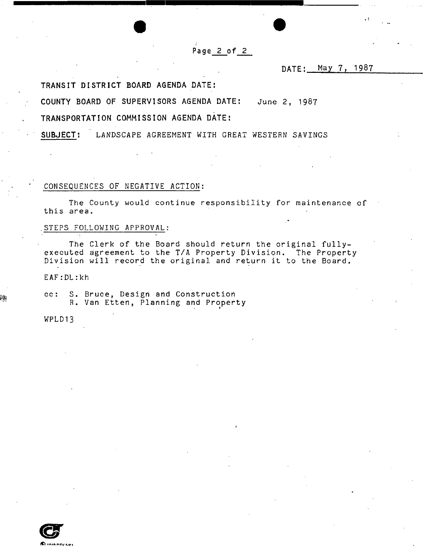Page 2 of 2

DATE: May 7, 1987

**TRANSIT DISTRICT BOARD AGENDA DATE:** 

**COUNTY BOARD OF SUPERVISORS AGENDA DATE:** June 2, 1987

## **TRANSPORTATION COMMISSION AGENDA DATE I**

**SUBJECT:** LANDSCAPE AGREEMENT WITH GREAT WESTERN SAVINGS

#### CONSEQUENCES OF NEGATIVE ACTION:

The County would continue responsibility for maintenance of this area.

#### .STEPS, FOLLOWING APPROVAL:

The Clerk of the Board should return the original fullyexecuted agreement to the T/A Property Division. The Property Division will record the original and return it to the Board.

\*

EAF:DL:kh

cc: S. Bruce, Design and Construction R. Van Etten, Planning and Property

WPLD13

₿Ŗ

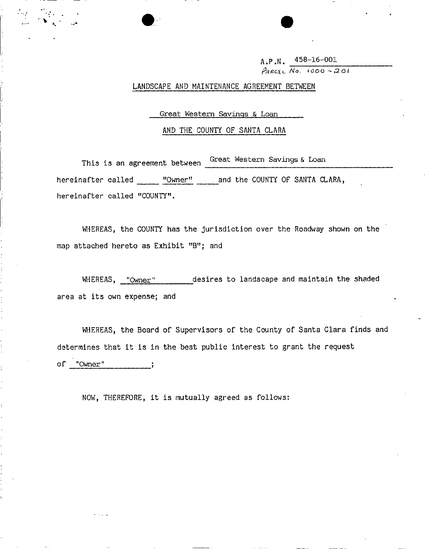**A.P.N. 458-16-001**  PARCEL No. 1000-201

LANDSCAPE AND MAINTENANCE AGREEMENT BETWEEN

Great Western Savings & Loan

#### AND THE COUNTY OF SANTA CLARA

This is an agreement between Great Western Savings & Loan hereinafter called "Owner" and the COUNTY OF SANTA CLARA, hereinafter called "COUNTY".

WHEREAS, the COUNTY has the jurisdiction over the Roadway shown on the map attached hereto as Exhibit "B"; and

WHEREAS, "Owner" desires to landscape and maintain the shaded area at its own expense; and

WHEREAS, the Board of Supervisors of the County of Santa Clara finds and determines that it is in the best public interest to grant the request of "Owner" ;

NOW, THEREFORE, it is mutually agreed as follows: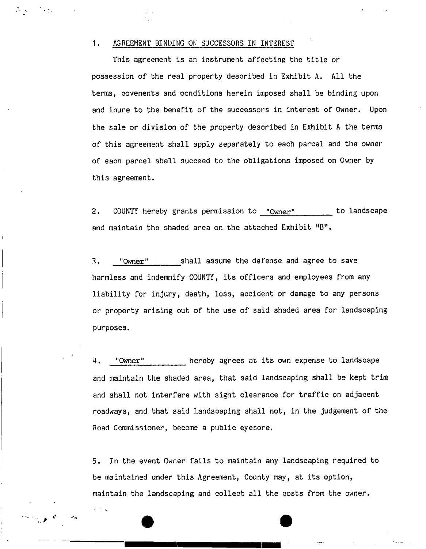### 1. AGREEMENT BINDING ON SUCCESSORS IN INTEREST

This agreement is an instrument affecting the title or possession of the real property described in Exhibit A. All the terms, covenents and conditions herein imposed shall be binding upon and inure to the benefit of the successors in interest of Owner. Upon the sale or division of the property described in Exhibit A the terms of this agreement shall apply separately to each parcel and the owner of each parcel shall succeed to the obligations imposed on Owner by this agreement.

2. COUNTY hereby grants permission to "Owner" to landscape and maintain the shaded area on the attached Exhibit "B".

3. "Owner" shall assume the defense and agree to save harmless and indemnify COUNTY, its officers and employees from any liability for injury, death, loss, accident or damage to any persons or property arising out of the use of said shaded area for landscaping purposes.

4. "Owner" hereby agrees at its own expense to landscape and maintain the shaded area, that said landscaping shall be kept trim and shall not interfere with sight clearance for traffic on adjacent roadways, and that said landscaping shall not, in the judgement of the Road Commissioner, become a public eyesore.

5. In the event Owner fails to maintain any landscaping required to be maintained under this Agreement, County may, at its option, maintain the landscaping and collect all the costs from the owner.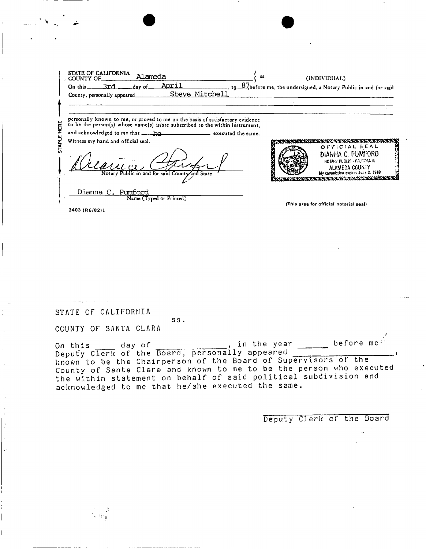|           | STATE OF CALIFORNIA<br>Alameda<br>SS.<br>. COUNTY OF<br>April<br>On this $3rd$ and day of<br>Steve Mitchell<br>County, personally appeared_______                                                                                                                                                                    | (INDIVIDUAL)<br>19 87, before me, the undersigned, a Notary Public in and for said                                                                                                 |
|-----------|----------------------------------------------------------------------------------------------------------------------------------------------------------------------------------------------------------------------------------------------------------------------------------------------------------------------|------------------------------------------------------------------------------------------------------------------------------------------------------------------------------------|
| ERE<br>ũ. | personally known to me, or proved to me on the basis of satisfactory evidence<br>to be the person(s) whose name(s) is/are subscribed to the within instrument.<br>and acknowledged to me that has had not executed the same.<br>Witness my hand and official seal.<br>Notary Public in and for said County and State | ふうだいかんかん こうへい アルプション<br>OFFICIAL SEAL<br>DIANNA C. PUMFORD<br>NOTARY PUCLIC - CALIFORNIA<br>ALAMEDA COUNTY<br>My commission expires June 2, 1969.<br>びんはんせんにん あいたい かいきだい ほうけんせいそうき |
|           | Dianna C. Pumford<br>Name (Typed or Printed)<br>2402 IBC 10011                                                                                                                                                                                                                                                       | (This area for official notarial seal)                                                                                                                                             |

STATE OF CALIFORMIA

र<br>बार्ग प्र

COUNTY OF SANTA CLARA

On this day of , in the year before n<br>Deputy Clerk of the Board, personally appeared<br>known to be the Chairperson of the Board of Supervisors of the in the year  $\overline{\phantom{0}}$  $before me$ County of Santa Clara and known to me to be the person who executed the within statement on behalf of said political subdivision and acknowledged to me that he/she executed the same.

 $SS.$ 

Deputy Clerk of the Board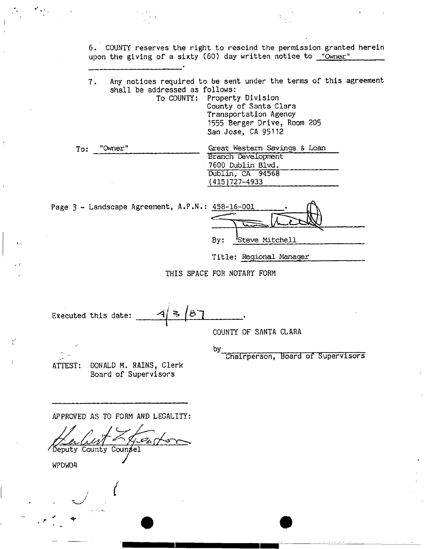6. COUNTY reserves the right to rescind the permission granted herein upon the giving of a sixty (60) day written notice to **"Owner"** 

7. Any notices required to be sent under the terms of this agreement shall be addressed as follows:

To COUNTY: Property Division County of Santa Clara Transportation Agency 1555 Berger Drive, Room 205 San Jose, CA 95112

 $\mathbb{F}_{q^2}$ 

| To: | "Owner" | Great Western Savings & Loan |
|-----|---------|------------------------------|
|     |         | Branch Development           |
|     |         | 7600 Dublin Blvd.            |
|     |         | Dublin, CA 94568             |
|     |         | $(415)727 - 4933$            |

Page  $3$  - Landscape Agreement,  $A.P.N$ 

| N.: 458-16-001 |                 |
|----------------|-----------------|
|                |                 |
|                |                 |
| By:            | 'Steve Mitchell |
|                |                 |

**Title: Regional Manager** 

THIS SPACE FOR NOTARY FORM

`පි`  $\geq$ Executed this date:

COUNTY OF SANTA CLARA

by ^ Chairperson, Board of Supervisors

ATTEST: DONALD M. RAINS, Clerk Board of Supervisors

APPROVED AS TO FORM AND LEGALITY:

/Deputy County Counsel

WPDW04

 $\mathbf{r}$ 

Y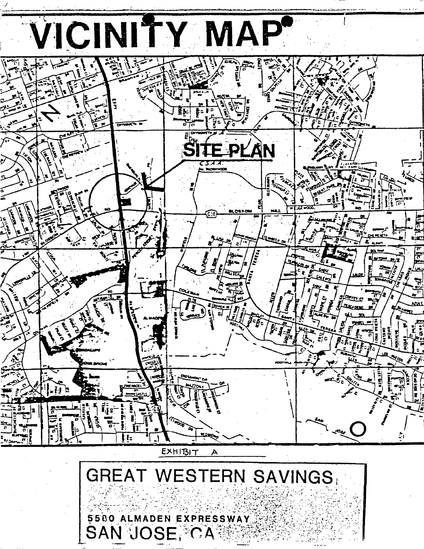